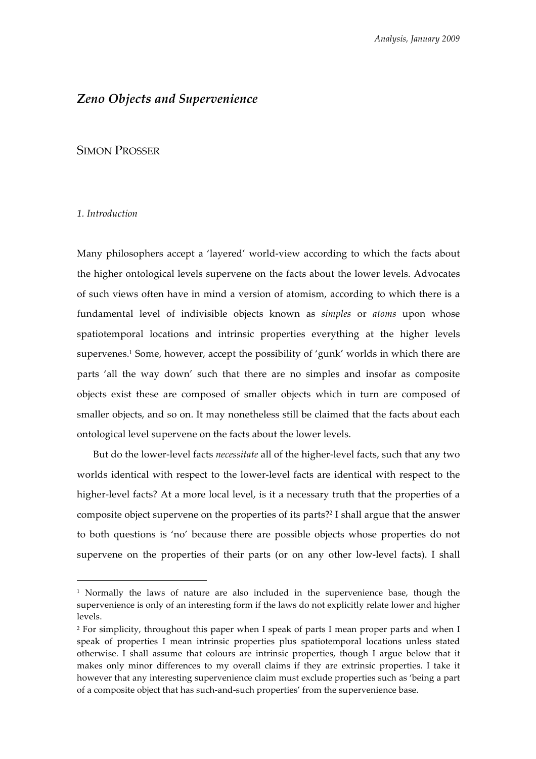# *Zeno Objects and Supervenience*

## SIMON PROSSER

#### *1. Introduction*

 $\overline{a}$ 

Many philosophers accept a 'layered' world-view according to which the facts about the higher ontological levels supervene on the facts about the lower levels. Advocates of such views often have in mind a version of atomism, according to which there is a fundamental level of indivisible objects known as *simples* or *atoms* upon whose spatiotemporal locations and intrinsic properties everything at the higher levels supervenes.1 Some, however, accept the possibility of 'gunk' worlds in which there are parts 'all the way down' such that there are no simples and insofar as composite objects exist these are composed of smaller objects which in turn are composed of smaller objects, and so on. It may nonetheless still be claimed that the facts about each ontological level supervene on the facts about the lower levels.

But do the lower-level facts *necessitate* all of the higher-level facts, such that any two worlds identical with respect to the lower-level facts are identical with respect to the higher-level facts? At a more local level, is it a necessary truth that the properties of a composite object supervene on the properties of its parts?2 I shall argue that the answer to both questions is 'no' because there are possible objects whose properties do not supervene on the properties of their parts (or on any other low-level facts). I shall

<sup>1</sup> Normally the laws of nature are also included in the supervenience base, though the supervenience is only of an interesting form if the laws do not explicitly relate lower and higher levels.

<sup>&</sup>lt;sup>2</sup> For simplicity, throughout this paper when I speak of parts I mean proper parts and when I speak of properties I mean intrinsic properties plus spatiotemporal locations unless stated otherwise. I shall assume that colours are intrinsic properties, though I argue below that it makes only minor differences to my overall claims if they are extrinsic properties. I take it however that any interesting supervenience claim must exclude properties such as 'being a part of a composite object that has such-and-such properties' from the supervenience base.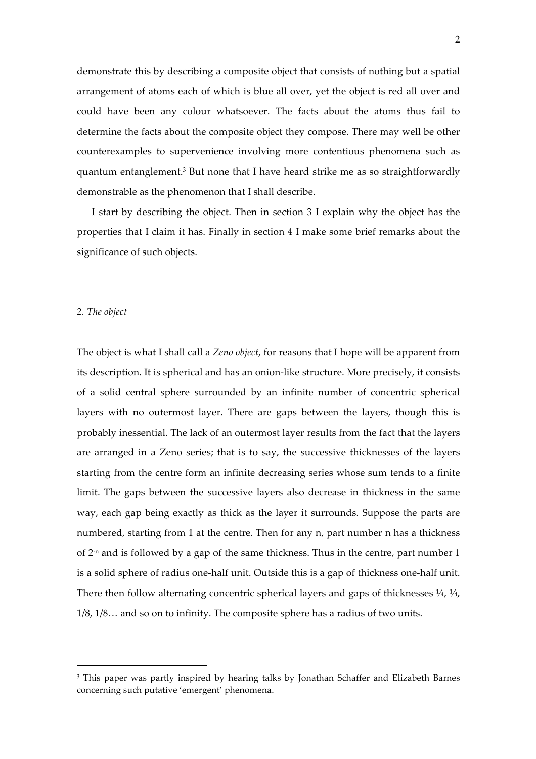demonstrate this by describing a composite object that consists of nothing but a spatial arrangement of atoms each of which is blue all over, yet the object is red all over and could have been any colour whatsoever. The facts about the atoms thus fail to determine the facts about the composite object they compose. There may well be other counterexamples to supervenience involving more contentious phenomena such as quantum entanglement.3 But none that I have heard strike me as so straightforwardly demonstrable as the phenomenon that I shall describe.

I start by describing the object. Then in section 3 I explain why the object has the properties that I claim it has. Finally in section 4 I make some brief remarks about the significance of such objects.

### *2. The object*

 $\overline{a}$ 

The object is what I shall call a *Zeno object*, for reasons that I hope will be apparent from its description. It is spherical and has an onion-like structure. More precisely, it consists of a solid central sphere surrounded by an infinite number of concentric spherical layers with no outermost layer. There are gaps between the layers, though this is probably inessential. The lack of an outermost layer results from the fact that the layers are arranged in a Zeno series; that is to say, the successive thicknesses of the layers starting from the centre form an infinite decreasing series whose sum tends to a finite limit. The gaps between the successive layers also decrease in thickness in the same way, each gap being exactly as thick as the layer it surrounds. Suppose the parts are numbered, starting from 1 at the centre. Then for any n, part number n has a thickness of  $2<sup>n</sup>$  and is followed by a gap of the same thickness. Thus in the centre, part number 1 is a solid sphere of radius one-half unit. Outside this is a gap of thickness one-half unit. There then follow alternating concentric spherical layers and gaps of thicknesses  $\frac{1}{4}$ ,  $\frac{1}{4}$ , 1/8, 1/8… and so on to infinity. The composite sphere has a radius of two units.

<sup>&</sup>lt;sup>3</sup> This paper was partly inspired by hearing talks by Jonathan Schaffer and Elizabeth Barnes concerning such putative 'emergent' phenomena.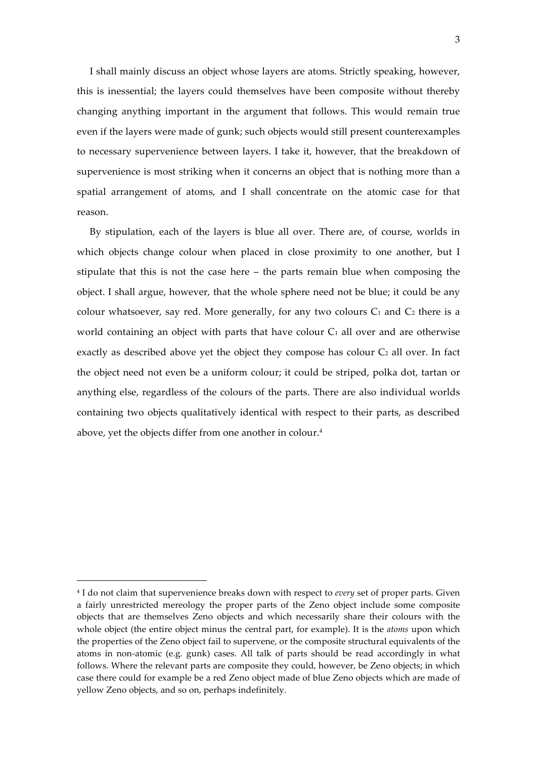I shall mainly discuss an object whose layers are atoms. Strictly speaking, however, this is inessential; the layers could themselves have been composite without thereby changing anything important in the argument that follows. This would remain true even if the layers were made of gunk; such objects would still present counterexamples to necessary supervenience between layers. I take it, however, that the breakdown of supervenience is most striking when it concerns an object that is nothing more than a spatial arrangement of atoms, and I shall concentrate on the atomic case for that reason.

By stipulation, each of the layers is blue all over. There are, of course, worlds in which objects change colour when placed in close proximity to one another, but I stipulate that this is not the case here – the parts remain blue when composing the object. I shall argue, however, that the whole sphere need not be blue; it could be any colour whatsoever, say red. More generally, for any two colours  $C_1$  and  $C_2$  there is a world containing an object with parts that have colour  $C_1$  all over and are otherwise exactly as described above yet the object they compose has colour  $C_2$  all over. In fact the object need not even be a uniform colour; it could be striped, polka dot, tartan or anything else, regardless of the colours of the parts. There are also individual worlds containing two objects qualitatively identical with respect to their parts, as described above, yet the objects differ from one another in colour.<sup>4</sup>

<sup>4</sup> I do not claim that supervenience breaks down with respect to *every* set of proper parts. Given a fairly unrestricted mereology the proper parts of the Zeno object include some composite objects that are themselves Zeno objects and which necessarily share their colours with the whole object (the entire object minus the central part, for example). It is the *atoms* upon which the properties of the Zeno object fail to supervene, or the composite structural equivalents of the atoms in non-atomic (e.g. gunk) cases. All talk of parts should be read accordingly in what follows. Where the relevant parts are composite they could, however, be Zeno objects; in which case there could for example be a red Zeno object made of blue Zeno objects which are made of yellow Zeno objects, and so on, perhaps indefinitely.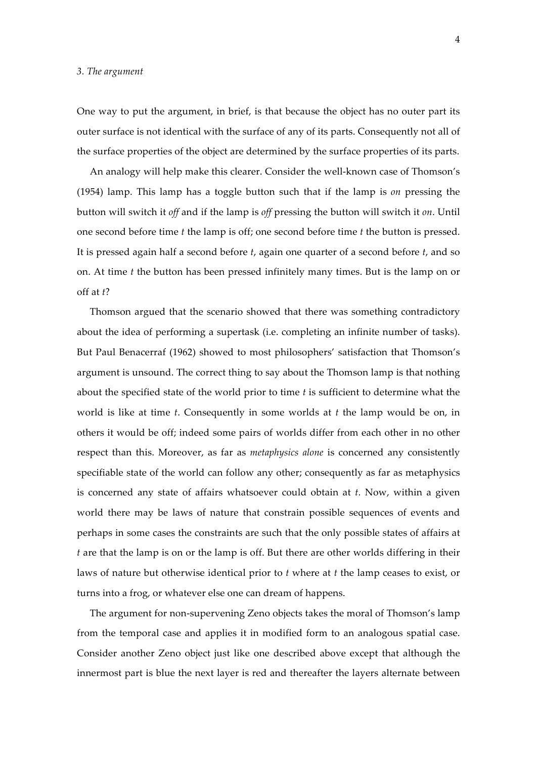#### *3. The argument*

One way to put the argument, in brief, is that because the object has no outer part its outer surface is not identical with the surface of any of its parts. Consequently not all of the surface properties of the object are determined by the surface properties of its parts.

An analogy will help make this clearer. Consider the well-known case of Thomson's (1954) lamp. This lamp has a toggle button such that if the lamp is *on* pressing the button will switch it *off* and if the lamp is *off* pressing the button will switch it *on*. Until one second before time *t* the lamp is off; one second before time *t* the button is pressed. It is pressed again half a second before *t*, again one quarter of a second before *t*, and so on. At time *t* the button has been pressed infinitely many times. But is the lamp on or off at *t*?

Thomson argued that the scenario showed that there was something contradictory about the idea of performing a supertask (i.e. completing an infinite number of tasks). But Paul Benacerraf (1962) showed to most philosophers' satisfaction that Thomson's argument is unsound. The correct thing to say about the Thomson lamp is that nothing about the specified state of the world prior to time *t* is sufficient to determine what the world is like at time *t*. Consequently in some worlds at *t* the lamp would be on, in others it would be off; indeed some pairs of worlds differ from each other in no other respect than this. Moreover, as far as *metaphysics alone* is concerned any consistently specifiable state of the world can follow any other; consequently as far as metaphysics is concerned any state of affairs whatsoever could obtain at *t*. Now, within a given world there may be laws of nature that constrain possible sequences of events and perhaps in some cases the constraints are such that the only possible states of affairs at *t* are that the lamp is on or the lamp is off. But there are other worlds differing in their laws of nature but otherwise identical prior to *t* where at *t* the lamp ceases to exist, or turns into a frog, or whatever else one can dream of happens.

The argument for non-supervening Zeno objects takes the moral of Thomson's lamp from the temporal case and applies it in modified form to an analogous spatial case. Consider another Zeno object just like one described above except that although the innermost part is blue the next layer is red and thereafter the layers alternate between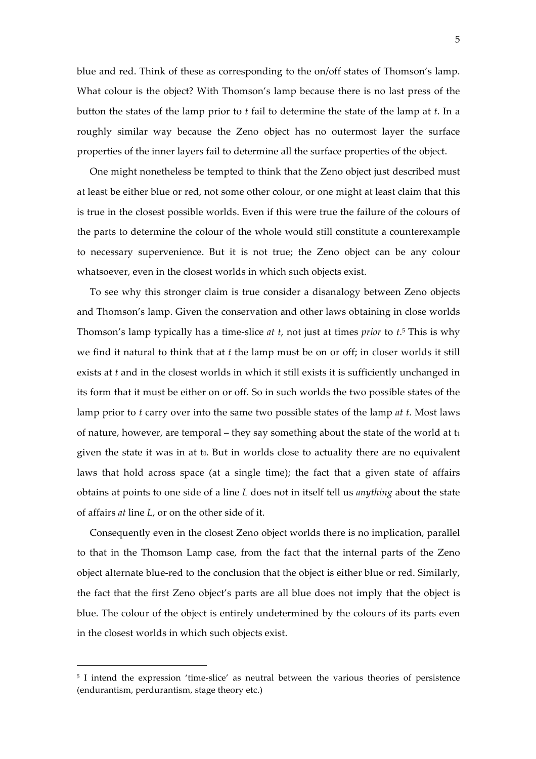blue and red. Think of these as corresponding to the on/off states of Thomson's lamp. What colour is the object? With Thomson's lamp because there is no last press of the button the states of the lamp prior to *t* fail to determine the state of the lamp at *t*. In a roughly similar way because the Zeno object has no outermost layer the surface properties of the inner layers fail to determine all the surface properties of the object.

One might nonetheless be tempted to think that the Zeno object just described must at least be either blue or red, not some other colour, or one might at least claim that this is true in the closest possible worlds. Even if this were true the failure of the colours of the parts to determine the colour of the whole would still constitute a counterexample to necessary supervenience. But it is not true; the Zeno object can be any colour whatsoever, even in the closest worlds in which such objects exist.

To see why this stronger claim is true consider a disanalogy between Zeno objects and Thomson's lamp. Given the conservation and other laws obtaining in close worlds Thomson's lamp typically has a time-slice *at t*, not just at times *prior* to *t*. <sup>5</sup> This is why we find it natural to think that at *t* the lamp must be on or off; in closer worlds it still exists at *t* and in the closest worlds in which it still exists it is sufficiently unchanged in its form that it must be either on or off. So in such worlds the two possible states of the lamp prior to *t* carry over into the same two possible states of the lamp *at t*. Most laws of nature, however, are temporal – they say something about the state of the world at  $t_1$ given the state it was in at to. But in worlds close to actuality there are no equivalent laws that hold across space (at a single time); the fact that a given state of affairs obtains at points to one side of a line *L* does not in itself tell us *anything* about the state of affairs *at* line *L*, or on the other side of it.

Consequently even in the closest Zeno object worlds there is no implication, parallel to that in the Thomson Lamp case, from the fact that the internal parts of the Zeno object alternate blue-red to the conclusion that the object is either blue or red. Similarly, the fact that the first Zeno object's parts are all blue does not imply that the object is blue. The colour of the object is entirely undetermined by the colours of its parts even in the closest worlds in which such objects exist.

<sup>5</sup> I intend the expression 'time-slice' as neutral between the various theories of persistence (endurantism, perdurantism, stage theory etc.)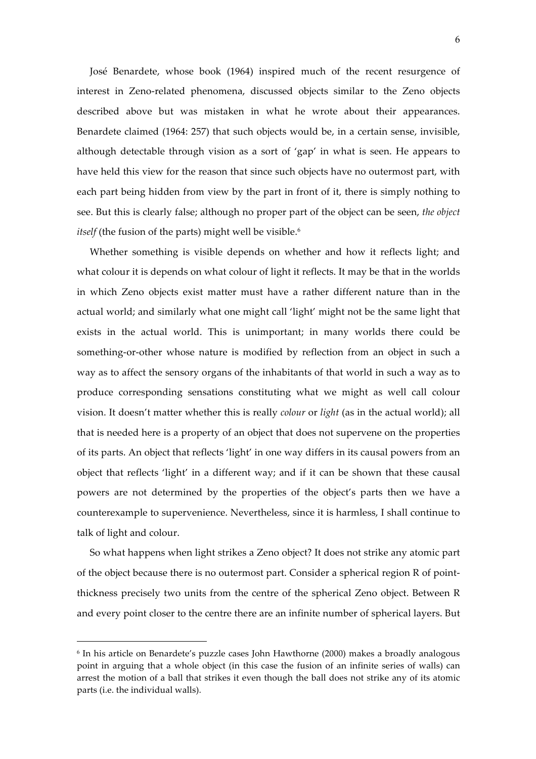José Benardete, whose book (1964) inspired much of the recent resurgence of interest in Zeno-related phenomena, discussed objects similar to the Zeno objects described above but was mistaken in what he wrote about their appearances. Benardete claimed (1964: 257) that such objects would be, in a certain sense, invisible, although detectable through vision as a sort of 'gap' in what is seen. He appears to have held this view for the reason that since such objects have no outermost part, with each part being hidden from view by the part in front of it, there is simply nothing to see. But this is clearly false; although no proper part of the object can be seen, *the object*  itself (the fusion of the parts) might well be visible.<sup>6</sup>

Whether something is visible depends on whether and how it reflects light; and what colour it is depends on what colour of light it reflects. It may be that in the worlds in which Zeno objects exist matter must have a rather different nature than in the actual world; and similarly what one might call 'light' might not be the same light that exists in the actual world. This is unimportant; in many worlds there could be something-or-other whose nature is modified by reflection from an object in such a way as to affect the sensory organs of the inhabitants of that world in such a way as to produce corresponding sensations constituting what we might as well call colour vision. It doesn't matter whether this is really *colour* or *light* (as in the actual world); all that is needed here is a property of an object that does not supervene on the properties of its parts. An object that reflects 'light' in one way differs in its causal powers from an object that reflects 'light' in a different way; and if it can be shown that these causal powers are not determined by the properties of the object's parts then we have a counterexample to supervenience. Nevertheless, since it is harmless, I shall continue to talk of light and colour.

So what happens when light strikes a Zeno object? It does not strike any atomic part of the object because there is no outermost part. Consider a spherical region R of pointthickness precisely two units from the centre of the spherical Zeno object. Between R and every point closer to the centre there are an infinite number of spherical layers. But

<sup>6</sup> In his article on Benardete's puzzle cases John Hawthorne (2000) makes a broadly analogous point in arguing that a whole object (in this case the fusion of an infinite series of walls) can arrest the motion of a ball that strikes it even though the ball does not strike any of its atomic parts (i.e. the individual walls).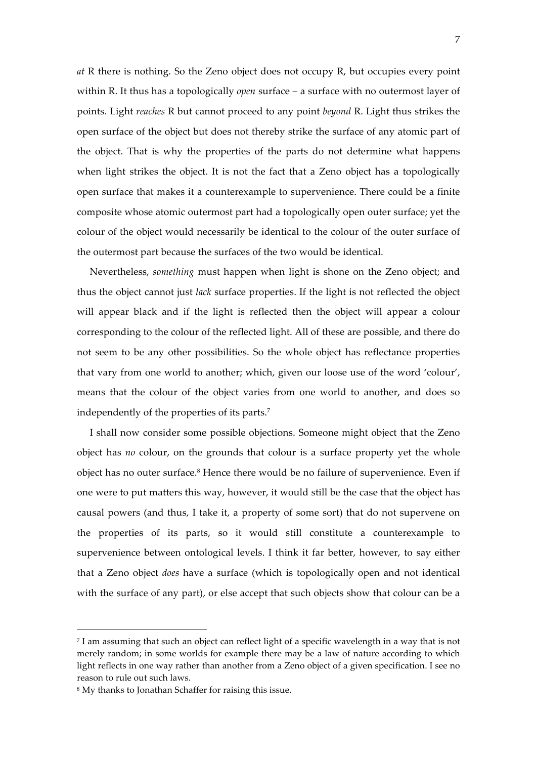*at* R there is nothing. So the Zeno object does not occupy R, but occupies every point within R. It thus has a topologically *open* surface – a surface with no outermost layer of points. Light *reaches* R but cannot proceed to any point *beyond* R. Light thus strikes the open surface of the object but does not thereby strike the surface of any atomic part of the object. That is why the properties of the parts do not determine what happens when light strikes the object. It is not the fact that a Zeno object has a topologically open surface that makes it a counterexample to supervenience. There could be a finite composite whose atomic outermost part had a topologically open outer surface; yet the colour of the object would necessarily be identical to the colour of the outer surface of the outermost part because the surfaces of the two would be identical.

Nevertheless, *something* must happen when light is shone on the Zeno object; and thus the object cannot just *lack* surface properties. If the light is not reflected the object will appear black and if the light is reflected then the object will appear a colour corresponding to the colour of the reflected light. All of these are possible, and there do not seem to be any other possibilities. So the whole object has reflectance properties that vary from one world to another; which, given our loose use of the word 'colour', means that the colour of the object varies from one world to another, and does so independently of the properties of its parts.7

I shall now consider some possible objections. Someone might object that the Zeno object has *no* colour, on the grounds that colour is a surface property yet the whole object has no outer surface.8 Hence there would be no failure of supervenience. Even if one were to put matters this way, however, it would still be the case that the object has causal powers (and thus, I take it, a property of some sort) that do not supervene on the properties of its parts, so it would still constitute a counterexample to supervenience between ontological levels. I think it far better, however, to say either that a Zeno object *does* have a surface (which is topologically open and not identical with the surface of any part), or else accept that such objects show that colour can be a

<sup>7</sup> I am assuming that such an object can reflect light of a specific wavelength in a way that is not merely random; in some worlds for example there may be a law of nature according to which light reflects in one way rather than another from a Zeno object of a given specification. I see no reason to rule out such laws.

<sup>8</sup> My thanks to Jonathan Schaffer for raising this issue.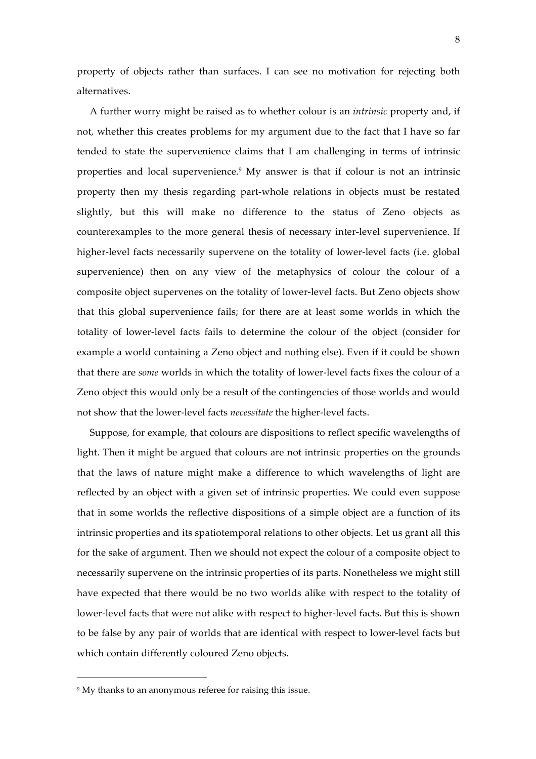property of objects rather than surfaces. I can see no motivation for rejecting both alternatives.

A further worry might be raised as to whether colour is an *intrinsic* property and, if not, whether this creates problems for my argument due to the fact that I have so far tended to state the supervenience claims that I am challenging in terms of intrinsic properties and local supervenience.9 My answer is that if colour is not an intrinsic property then my thesis regarding part-whole relations in objects must be restated slightly, but this will make no difference to the status of Zeno objects as counterexamples to the more general thesis of necessary inter-level supervenience. If higher-level facts necessarily supervene on the totality of lower-level facts (i.e. global supervenience) then on any view of the metaphysics of colour the colour of a composite object supervenes on the totality of lower-level facts. But Zeno objects show that this global supervenience fails; for there are at least some worlds in which the totality of lower-level facts fails to determine the colour of the object (consider for example a world containing a Zeno object and nothing else). Even if it could be shown that there are *some* worlds in which the totality of lower-level facts fixes the colour of a Zeno object this would only be a result of the contingencies of those worlds and would not show that the lower-level facts *necessitate* the higher-level facts.

Suppose, for example, that colours are dispositions to reflect specific wavelengths of light. Then it might be argued that colours are not intrinsic properties on the grounds that the laws of nature might make a difference to which wavelengths of light are reflected by an object with a given set of intrinsic properties. We could even suppose that in some worlds the reflective dispositions of a simple object are a function of its intrinsic properties and its spatiotemporal relations to other objects. Let us grant all this for the sake of argument. Then we should not expect the colour of a composite object to necessarily supervene on the intrinsic properties of its parts. Nonetheless we might still have expected that there would be no two worlds alike with respect to the totality of lower-level facts that were not alike with respect to higher-level facts. But this is shown to be false by any pair of worlds that are identical with respect to lower-level facts but which contain differently coloured Zeno objects.

<sup>&</sup>lt;sup>9</sup> My thanks to an anonymous referee for raising this issue.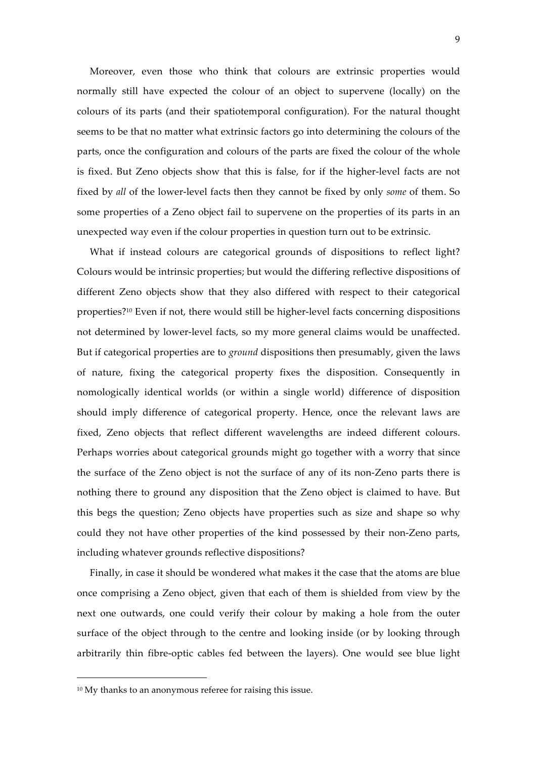Moreover, even those who think that colours are extrinsic properties would normally still have expected the colour of an object to supervene (locally) on the colours of its parts (and their spatiotemporal configuration). For the natural thought seems to be that no matter what extrinsic factors go into determining the colours of the parts, once the configuration and colours of the parts are fixed the colour of the whole is fixed. But Zeno objects show that this is false, for if the higher-level facts are not fixed by *all* of the lower-level facts then they cannot be fixed by only *some* of them. So some properties of a Zeno object fail to supervene on the properties of its parts in an unexpected way even if the colour properties in question turn out to be extrinsic.

What if instead colours are categorical grounds of dispositions to reflect light? Colours would be intrinsic properties; but would the differing reflective dispositions of different Zeno objects show that they also differed with respect to their categorical properties?10 Even if not, there would still be higher-level facts concerning dispositions not determined by lower-level facts, so my more general claims would be unaffected. But if categorical properties are to *ground* dispositions then presumably, given the laws of nature, fixing the categorical property fixes the disposition. Consequently in nomologically identical worlds (or within a single world) difference of disposition should imply difference of categorical property. Hence, once the relevant laws are fixed, Zeno objects that reflect different wavelengths are indeed different colours. Perhaps worries about categorical grounds might go together with a worry that since the surface of the Zeno object is not the surface of any of its non-Zeno parts there is nothing there to ground any disposition that the Zeno object is claimed to have. But this begs the question; Zeno objects have properties such as size and shape so why could they not have other properties of the kind possessed by their non-Zeno parts, including whatever grounds reflective dispositions?

Finally, in case it should be wondered what makes it the case that the atoms are blue once comprising a Zeno object, given that each of them is shielded from view by the next one outwards, one could verify their colour by making a hole from the outer surface of the object through to the centre and looking inside (or by looking through arbitrarily thin fibre-optic cables fed between the layers). One would see blue light

<sup>&</sup>lt;sup>10</sup> My thanks to an anonymous referee for raising this issue.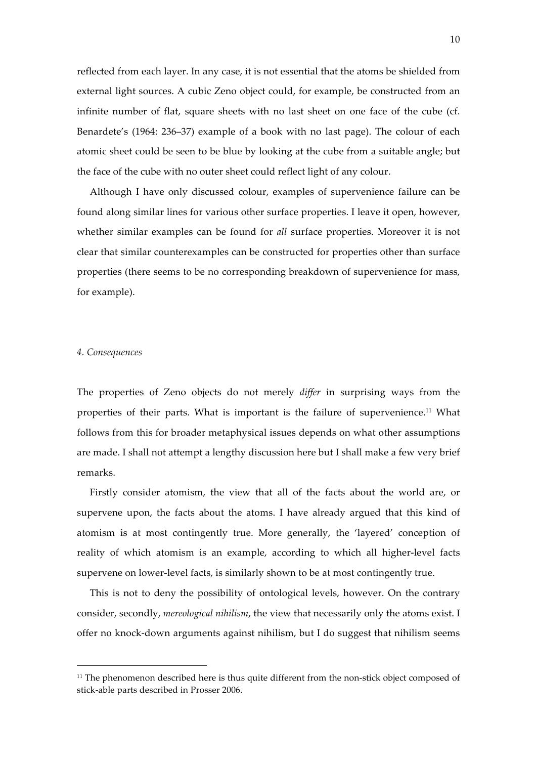reflected from each layer. In any case, it is not essential that the atoms be shielded from external light sources. A cubic Zeno object could, for example, be constructed from an infinite number of flat, square sheets with no last sheet on one face of the cube (cf. Benardete's (1964: 236–37) example of a book with no last page). The colour of each atomic sheet could be seen to be blue by looking at the cube from a suitable angle; but the face of the cube with no outer sheet could reflect light of any colour.

Although I have only discussed colour, examples of supervenience failure can be found along similar lines for various other surface properties. I leave it open, however, whether similar examples can be found for *all* surface properties. Moreover it is not clear that similar counterexamples can be constructed for properties other than surface properties (there seems to be no corresponding breakdown of supervenience for mass, for example).

#### *4. Consequences*

 $\overline{a}$ 

The properties of Zeno objects do not merely *differ* in surprising ways from the properties of their parts. What is important is the failure of supervenience.<sup>11</sup> What follows from this for broader metaphysical issues depends on what other assumptions are made. I shall not attempt a lengthy discussion here but I shall make a few very brief remarks.

Firstly consider atomism, the view that all of the facts about the world are, or supervene upon, the facts about the atoms. I have already argued that this kind of atomism is at most contingently true. More generally, the 'layered' conception of reality of which atomism is an example, according to which all higher-level facts supervene on lower-level facts, is similarly shown to be at most contingently true.

This is not to deny the possibility of ontological levels, however. On the contrary consider, secondly, *mereological nihilism*, the view that necessarily only the atoms exist. I offer no knock-down arguments against nihilism, but I do suggest that nihilism seems

<sup>&</sup>lt;sup>11</sup> The phenomenon described here is thus quite different from the non-stick object composed of stick-able parts described in Prosser 2006.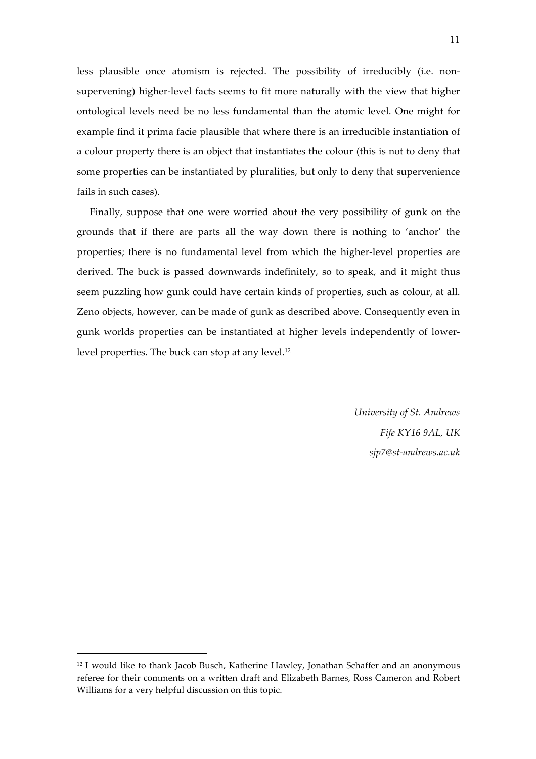less plausible once atomism is rejected. The possibility of irreducibly (i.e. nonsupervening) higher-level facts seems to fit more naturally with the view that higher ontological levels need be no less fundamental than the atomic level. One might for example find it prima facie plausible that where there is an irreducible instantiation of a colour property there is an object that instantiates the colour (this is not to deny that some properties can be instantiated by pluralities, but only to deny that supervenience fails in such cases).

Finally, suppose that one were worried about the very possibility of gunk on the grounds that if there are parts all the way down there is nothing to 'anchor' the properties; there is no fundamental level from which the higher-level properties are derived. The buck is passed downwards indefinitely, so to speak, and it might thus seem puzzling how gunk could have certain kinds of properties, such as colour, at all. Zeno objects, however, can be made of gunk as described above. Consequently even in gunk worlds properties can be instantiated at higher levels independently of lowerlevel properties. The buck can stop at any level.<sup>12</sup>

> *University of St. Andrews Fife KY16 9AL, UK sjp7@st-andrews.ac.uk*

<sup>12</sup> I would like to thank Jacob Busch, Katherine Hawley, Jonathan Schaffer and an anonymous referee for their comments on a written draft and Elizabeth Barnes, Ross Cameron and Robert Williams for a very helpful discussion on this topic.